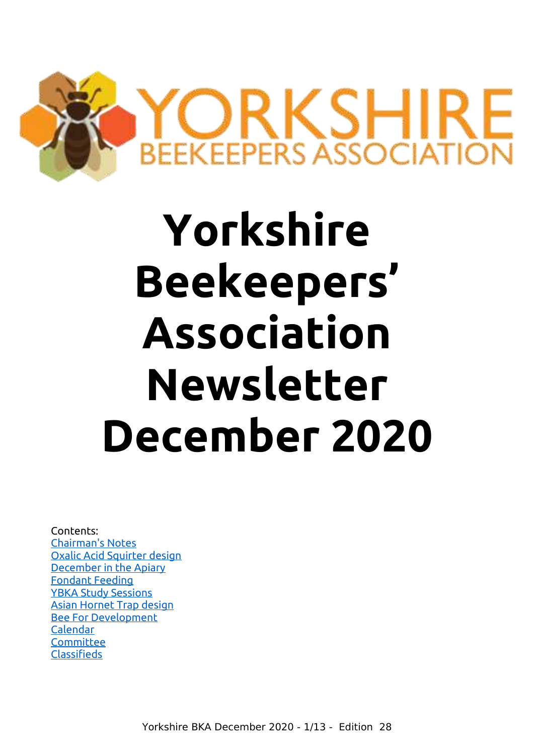

## **Yorkshire Beekeepers' Association Newsletter December 2020**

#### Contents:

[Chairman's Notes](#page-1-0) [Oxalic Acid Squirter design](#page-2-1) [December in the Apiary](#page-2-0) [Fondant Feeding](#page-4-0) [YBKA Study Sessions](#page-5-0) [Asian Hornet Trap design](#page-6-1) [Bee For Development](#page-6-0) [Calendar](#page-8-2) **[Committee](#page-8-1)** [Classifieds](#page-8-0)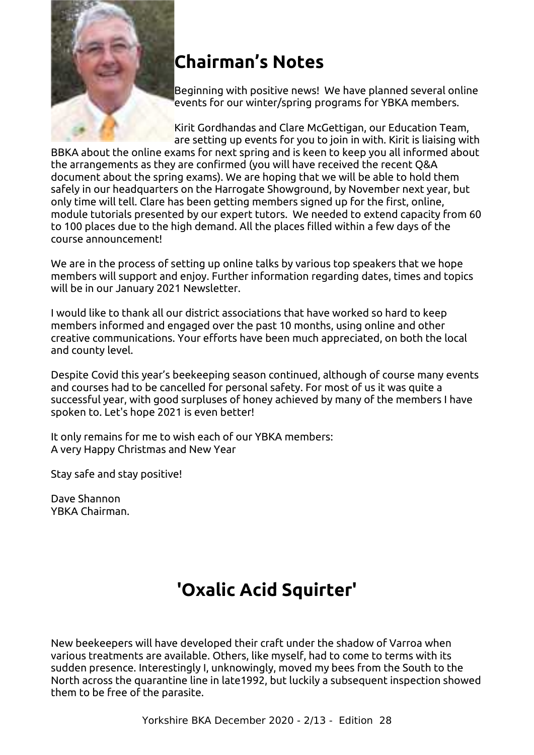

## <span id="page-1-0"></span>**Chairman's Notes**

Beginning with positive news! We have planned several online events for our winter/spring programs for YBKA members.

Kirit Gordhandas and Clare McGettigan, our Education Team, are setting up events for you to join in with. Kirit is liaising with BBKA about the online exams for next spring and is keen to keep you all informed about the arrangements as they are confirmed (you will have received the recent Q&A document about the spring exams). We are hoping that we will be able to hold them safely in our headquarters on the Harrogate Showground, by November next year, but only time will tell. Clare has been getting members signed up for the first, online, module tutorials presented by our expert tutors. We needed to extend capacity from 60 to 100 places due to the high demand. All the places filled within a few days of the course announcement!

We are in the process of setting up online talks by various top speakers that we hope members will support and enjoy. Further information regarding dates, times and topics will be in our January 2021 Newsletter.

I would like to thank all our district associations that have worked so hard to keep members informed and engaged over the past 10 months, using online and other creative communications. Your efforts have been much appreciated, on both the local and county level.

Despite Covid this year's beekeeping season continued, although of course many events and courses had to be cancelled for personal safety. For most of us it was quite a successful year, with good surpluses of honey achieved by many of the members I have spoken to. Let's hope 2021 is even better!

It only remains for me to wish each of our YBKA members: A very Happy Christmas and New Year

Stay safe and stay positive!

Dave Shannon YBKA Chairman.

## **'Oxalic Acid Squirter'**

New beekeepers will have developed their craft under the shadow of Varroa when various treatments are available. Others, like myself, had to come to terms with its sudden presence. Interestingly I, unknowingly, moved my bees from the South to the North across the quarantine line in late1992, but luckily a subsequent inspection showed them to be free of the parasite.

Yorkshire BKA December 2020 - 2/13 - Edition 28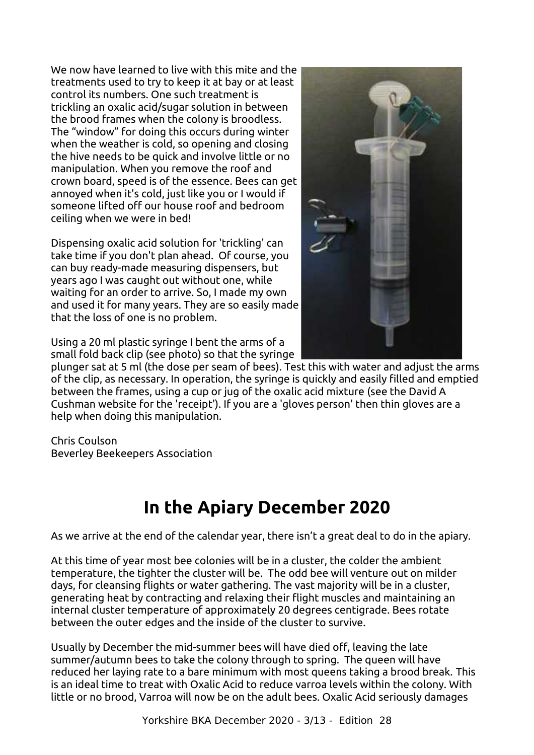<span id="page-2-1"></span>We now have learned to live with this mite and the treatments used to try to keep it at bay or at least control its numbers. One such treatment is trickling an oxalic acid/sugar solution in between the brood frames when the colony is broodless. The "window" for doing this occurs during winter when the weather is cold, so opening and closing the hive needs to be quick and involve little or no manipulation. When you remove the roof and crown board, speed is of the essence. Bees can get annoyed when it's cold, just like you or I would if someone lifted off our house roof and bedroom ceiling when we were in bed!

Dispensing oxalic acid solution for 'trickling' can take time if you don't plan ahead. Of course, you can buy ready-made measuring dispensers, but years ago I was caught out without one, while waiting for an order to arrive. So, I made my own and used it for many years. They are so easily made that the loss of one is no problem.



Using a 20 ml plastic syringe I bent the arms of a small fold back clip (see photo) so that the syringe

plunger sat at 5 ml (the dose per seam of bees). Test this with water and adjust the arms of the clip, as necessary. In operation, the syringe is quickly and easily filled and emptied between the frames, using a cup or jug of the oxalic acid mixture (see the David A Cushman website for the 'receipt'). If you are a 'gloves person' then thin gloves are a help when doing this manipulation.

Chris Coulson Beverley Beekeepers Association

## <span id="page-2-0"></span>**In the Apiary December 2020**

As we arrive at the end of the calendar year, there isn't a great deal to do in the apiary.

At this time of year most bee colonies will be in a cluster, the colder the ambient temperature, the tighter the cluster will be. The odd bee will venture out on milder days, for cleansing flights or water gathering. The vast majority will be in a cluster, generating heat by contracting and relaxing their flight muscles and maintaining an internal cluster temperature of approximately 20 degrees centigrade. Bees rotate between the outer edges and the inside of the cluster to survive.

Usually by December the mid-summer bees will have died off, leaving the late summer/autumn bees to take the colony through to spring. The queen will have reduced her laying rate to a bare minimum with most queens taking a brood break. This is an ideal time to treat with Oxalic Acid to reduce varroa levels within the colony. With little or no brood, Varroa will now be on the adult bees. Oxalic Acid seriously damages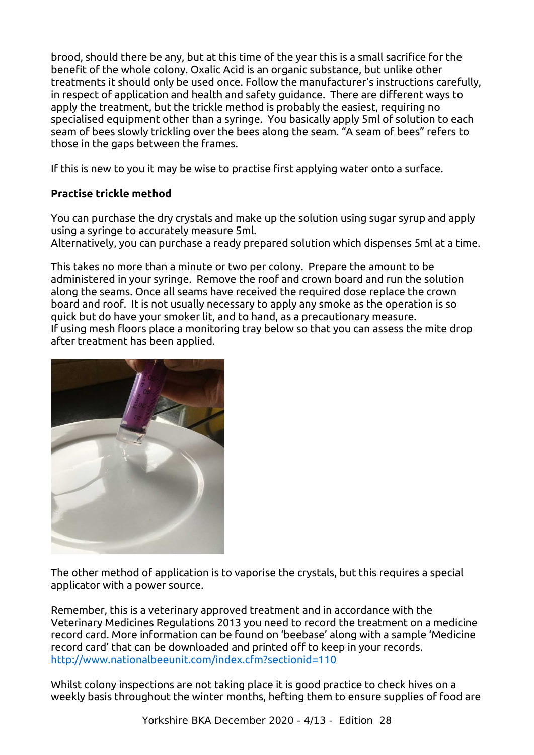brood, should there be any, but at this time of the year this is a small sacrifice for the benefit of the whole colony. Oxalic Acid is an organic substance, but unlike other treatments it should only be used once. Follow the manufacturer's instructions carefully, in respect of application and health and safety guidance. There are different ways to apply the treatment, but the trickle method is probably the easiest, requiring no specialised equipment other than a syringe. You basically apply 5ml of solution to each seam of bees slowly trickling over the bees along the seam. "A seam of bees" refers to those in the gaps between the frames.

If this is new to you it may be wise to practise first applying water onto a surface.

#### **Practise trickle method**

You can purchase the dry crystals and make up the solution using sugar syrup and apply using a syringe to accurately measure 5ml.

Alternatively, you can purchase a ready prepared solution which dispenses 5ml at a time.

This takes no more than a minute or two per colony. Prepare the amount to be administered in your syringe. Remove the roof and crown board and run the solution along the seams. Once all seams have received the required dose replace the crown board and roof. It is not usually necessary to apply any smoke as the operation is so quick but do have your smoker lit, and to hand, as a precautionary measure. If using mesh floors place a monitoring tray below so that you can assess the mite drop after treatment has been applied.



The other method of application is to vaporise the crystals, but this requires a special applicator with a power source.

Remember, this is a veterinary approved treatment and in accordance with the Veterinary Medicines Regulations 2013 you need to record the treatment on a medicine record card. More information can be found on 'beebase' along with a sample 'Medicine record card' that can be downloaded and printed off to keep in your records. <http://www.nationalbeeunit.com/index.cfm?sectionid=110>

Whilst colony inspections are not taking place it is good practice to check hives on a weekly basis throughout the winter months, hefting them to ensure supplies of food are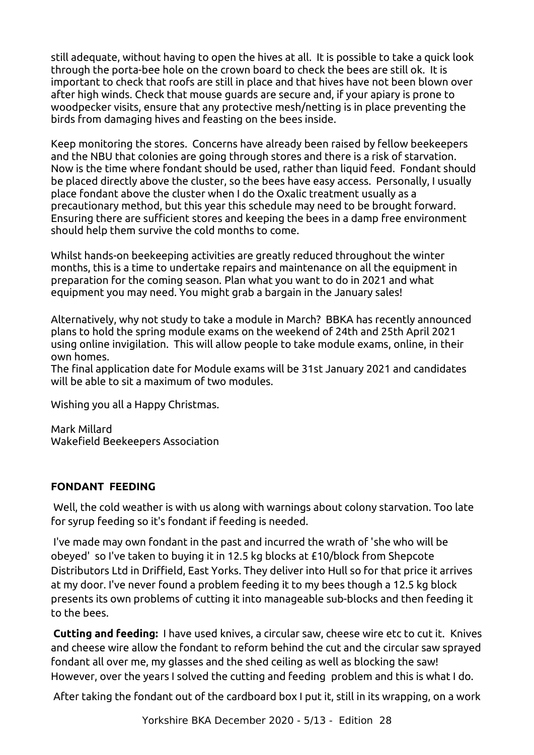still adequate, without having to open the hives at all. It is possible to take a quick look through the porta-bee hole on the crown board to check the bees are still ok. It is important to check that roofs are still in place and that hives have not been blown over after high winds. Check that mouse guards are secure and, if your apiary is prone to woodpecker visits, ensure that any protective mesh/netting is in place preventing the birds from damaging hives and feasting on the bees inside.

Keep monitoring the stores. Concerns have already been raised by fellow beekeepers and the NBU that colonies are going through stores and there is a risk of starvation. Now is the time where fondant should be used, rather than liquid feed. Fondant should be placed directly above the cluster, so the bees have easy access. Personally, I usually place fondant above the cluster when I do the Oxalic treatment usually as a precautionary method, but this year this schedule may need to be brought forward. Ensuring there are sufficient stores and keeping the bees in a damp free environment should help them survive the cold months to come.

Whilst hands-on beekeeping activities are greatly reduced throughout the winter months, this is a time to undertake repairs and maintenance on all the equipment in preparation for the coming season. Plan what you want to do in 2021 and what equipment you may need. You might grab a bargain in the January sales!

Alternatively, why not study to take a module in March? BBKA has recently announced plans to hold the spring module exams on the weekend of 24th and 25th April 2021 using online invigilation. This will allow people to take module exams, online, in their own homes.

The final application date for Module exams will be 31st January 2021 and candidates will be able to sit a maximum of two modules.

Wishing you all a Happy Christmas.

Mark Millard Wakefield Beekeepers Association

#### <span id="page-4-0"></span> **FONDANT FEEDING**

Well, the cold weather is with us along with warnings about colony starvation. Too late for syrup feeding so it's fondant if feeding is needed.

I've made may own fondant in the past and incurred the wrath of 'she who will be obeyed' so I've taken to buying it in 12.5 kg blocks at £10/block from Shepcote Distributors Ltd in Driffield, East Yorks. They deliver into Hull so for that price it arrives at my door. I've never found a problem feeding it to my bees though a 12.5 kg block presents its own problems of cutting it into manageable sub-blocks and then feeding it to the bees.

**Cutting and feeding:** I have used knives, a circular saw, cheese wire etc to cut it. Knives and cheese wire allow the fondant to reform behind the cut and the circular saw sprayed fondant all over me, my glasses and the shed ceiling as well as blocking the saw! However, over the years I solved the cutting and feeding problem and this is what I do.

After taking the fondant out of the cardboard box I put it, still in its wrapping, on a work

Yorkshire BKA December 2020 - 5/13 - Edition 28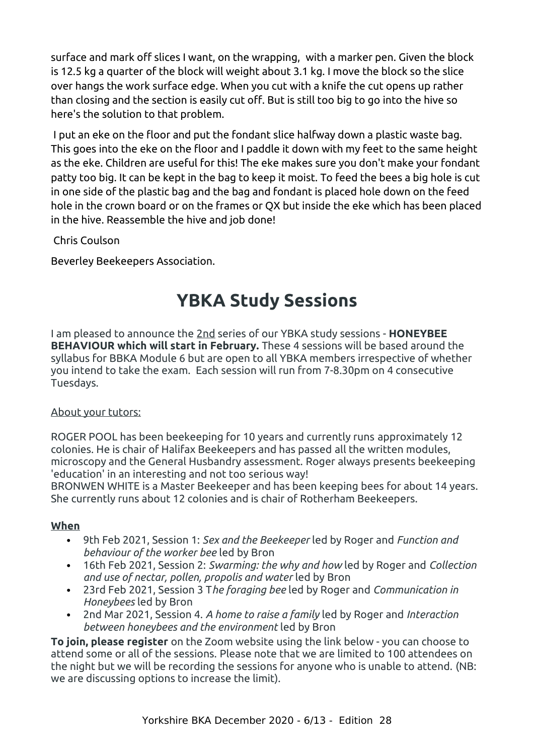surface and mark off slices I want, on the wrapping, with a marker pen. Given the block is 12.5 kg a quarter of the block will weight about 3.1 kg. I move the block so the slice over hangs the work surface edge. When you cut with a knife the cut opens up rather than closing and the section is easily cut off. But is still too big to go into the hive so here's the solution to that problem.

I put an eke on the floor and put the fondant slice halfway down a plastic waste bag. This goes into the eke on the floor and I paddle it down with my feet to the same height as the eke. Children are useful for this! The eke makes sure you don't make your fondant patty too big. It can be kept in the bag to keep it moist. To feed the bees a big hole is cut in one side of the plastic bag and the bag and fondant is placed hole down on the feed hole in the crown board or on the frames or QX but inside the eke which has been placed in the hive. Reassemble the hive and job done!

Chris Coulson

Beverley Beekeepers Association.

## <span id="page-5-0"></span>**YBKA Study Sessions**

I am pleased to announce the 2nd series of our YBKA study sessions - **HONEYBEE BEHAVIOUR which will start in February.** These 4 sessions will be based around the syllabus for BBKA Module 6 but are open to all YBKA members irrespective of whether you intend to take the exam. Each session will run from 7-8.30pm on 4 consecutive Tuesdays.

#### About your tutors:

ROGER POOL has been beekeeping for 10 years and currently runs approximately 12 colonies. He is chair of Halifax Beekeepers and has passed all the written modules, microscopy and the General Husbandry assessment. Roger always presents beekeeping 'education' in an interesting and not too serious way!

BRONWEN WHITE is a Master Beekeeper and has been keeping bees for about 14 years. She currently runs about 12 colonies and is chair of Rotherham Beekeepers.

#### **When**

- 9th Feb 2021, Session 1: *Sex and the Beekeeper* led by Roger and *Function and behaviour of the worker bee* led by Bron
- 16th Feb 2021, Session 2: *Swarming: the why and how* led by Roger and *Collection and use of nectar, pollen, propolis and water* led by Bron
- 23rd Feb 2021, Session 3 T*he foraging bee* led by Roger and *Communication in Honeybees* led by Bron
- 2nd Mar 2021, Session 4. *A home to raise a family* led by Roger and *Interaction between honeybees and the environment* led by Bron

**To join, please register** on the Zoom website using the link below - you can choose to attend some or all of the sessions. Please note that we are limited to 100 attendees on the night but we will be recording the sessions for anyone who is unable to attend. (NB: we are discussing options to increase the limit).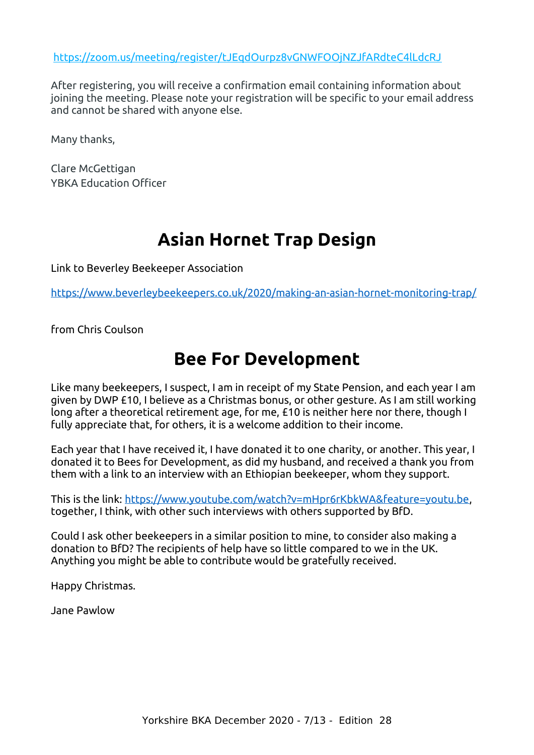<https://zoom.us/meeting/register/tJEqdOurpz8vGNWFOOjNZJfARdteC4lLdcRJ>

After registering, you will receive a confirmation email containing information about joining the meeting. Please note your registration will be specific to your email address and cannot be shared with anyone else.

Many thanks,

Clare McGettigan YBKA Education Officer

## **Asian Hornet Trap Design**

Link to Beverley Beekeeper Association

<https://www.beverleybeekeepers.co.uk/2020/making-an-asian-hornet-monitoring-trap/>

from Chris Coulson

### <span id="page-6-0"></span>**Bee For Development**

<span id="page-6-1"></span>Like many beekeepers, I suspect, I am in receipt of my State Pension, and each year I am given by DWP £10, I believe as a Christmas bonus, or other gesture. As I am still working long after a theoretical retirement age, for me, £10 is neither here nor there, though I fully appreciate that, for others, it is a welcome addition to their income.

Each year that I have received it, I have donated it to one charity, or another. This year, I donated it to Bees for Development, as did my husband, and received a thank you from them with a link to an interview with an Ethiopian beekeeper, whom they support.

This is the link: <https://www.youtube.com/watch?v=mHpr6rKbkWA&feature=youtu.be>, together, I think, with other such interviews with others supported by BfD.

Could I ask other beekeepers in a similar position to mine, to consider also making a donation to BfD? The recipients of help have so little compared to we in the UK. Anything you might be able to contribute would be gratefully received.

Happy Christmas.

Jane Pawlow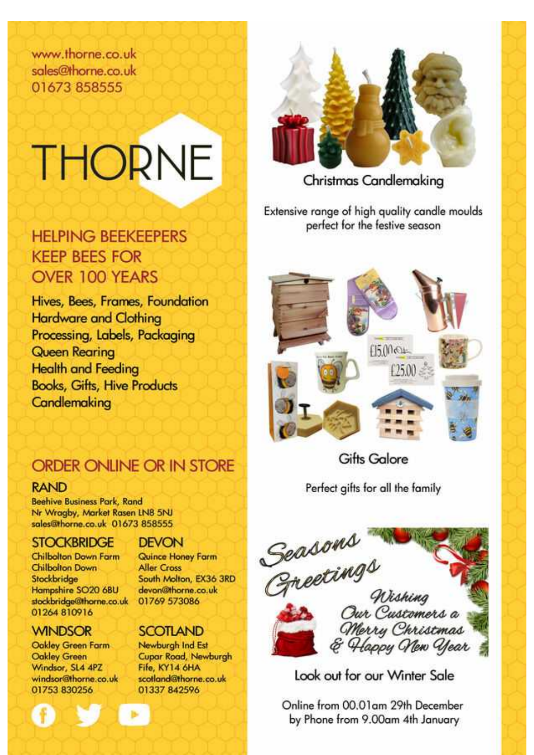www.thorne.co.uk sales@thorne.co.uk 01673 858555

# **THORNE**

### **HELPING BEEKEEPERS KEEP BEES FOR** OVER 100 YEARS

Hives, Bees, Frames, Foundation **Hardware and Clothing** Processing, Labels, Packaging **Queen Rearing Health and Feeding Books, Gifts, Hive Products** Candlemaking

## ORDER ONLINE OR IN STORE

#### **RAND**

**Beehive Business Park, Rand** Nr Wragby, Market Rasen LN8 5NJ sales@thorne.co.uk 01673 858555

#### **STOCKBRIDGE**

Chilbolton Down Farm Chilbolton Down Stockbridge Hampshire SO20 68U stockbridge@thorne.co.uk 01264 810916

#### **WINDSOR**

Oakley Green Farm **Oakley Green** Windsor, SL4 4PZ windsor@thorne.co.uk 01753 830256

#### **DEVON**

Quince Honey Farm **Aller Cross** South Molton, EX36 3RD devon@thorne.co.uk 01769 573086

#### **SCOTLAND**

Newburgh Ind Est **Cupar Road, Newburgh** Fife, KY14 6HA scotland@thorne.co.uk 01337 842596



Christmas Candlemaking

Extensive range of high quality candle moulds perfect for the festive season



Gifts Galore

Perfect gifts for all the family



Look out for our Winter Sale

Online from 00.01am 29th December by Phone from 9.00am 4th January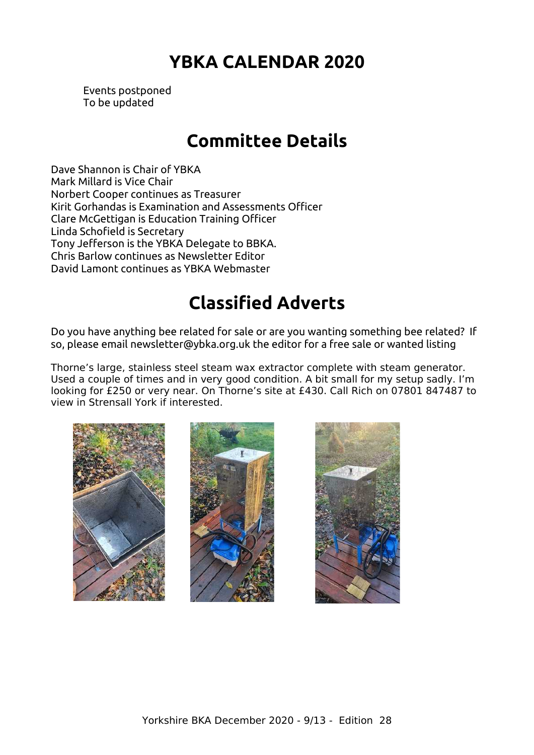## **YBKA CALENDAR 2020**

<span id="page-8-2"></span>Events postponed To be updated

## **Committee Details**

<span id="page-8-1"></span>Dave Shannon is Chair of YBKA Mark Millard is Vice Chair Norbert Cooper continues as Treasurer Kirit Gorhandas is Examination and Assessments Officer Clare McGettigan is Education Training Officer Linda Schofield is Secretary Tony Jefferson is the YBKA Delegate to BBKA. Chris Barlow continues as Newsletter Editor David Lamont continues as YBKA Webmaster

## **Classified Adverts**

Do you have anything bee related for sale or are you wanting something bee related? If so, please email newsletter@ybka.org.uk the editor for a free sale or wanted listing

Thorne's large, stainless steel steam wax extractor complete with steam generator. Used a couple of times and in very good condition. A bit small for my setup sadly. I'm looking for £250 or very near. On Thorne's site at £430. Call Rich on 07801 847487 to view in Strensall York if interested.





<span id="page-8-0"></span>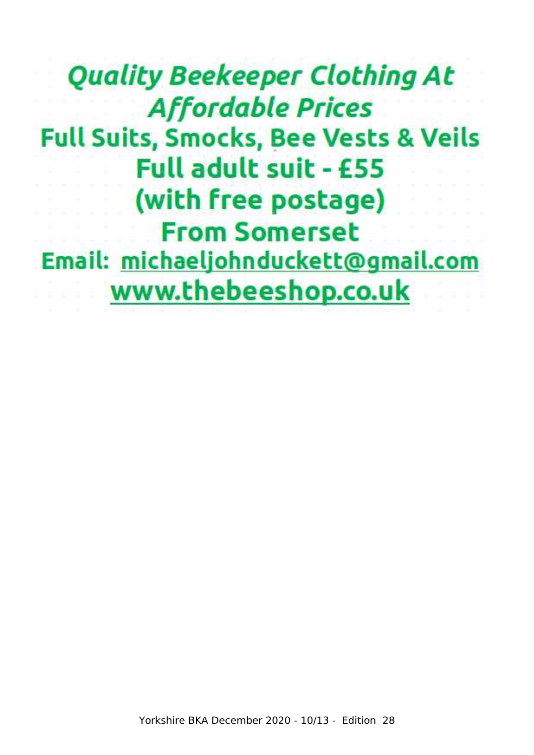## **Quality Beekeeper Clothing At Affordable Prices Full Suits, Smocks, Bee Vests & Veils Full adult suit - £55** (with free postage) **From Somerset** Email: michaeljohnduckett@gmail.com www.thebeeshop.co.uk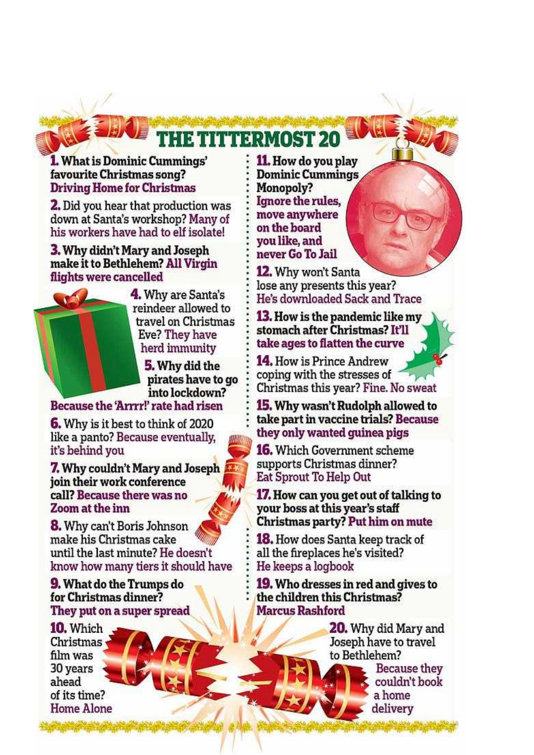## **THE TITTERMOST 20**

#### **1.** What is Dominic Cummings' favourite Christmas song? **Driving Home for Christmas**

**2.** Did you hear that production was down at Santa's workshop? Many of his workers have had to elf isolate!

#### **3. Why didn't Mary and Joseph** make it to Bethlehem? All Virgin flights were cancelled



4. Why are Santa's reindeer allowed to travel on Christmas Eve? They have herd immunity

> 5. Why did the pirates have to go into lockdown?

Because the 'Arrrr!' rate had risen

**6.** Why is it best to think of 2020 like a panto? Because eventually. it's behind vou

**7.** Why couldn't Mary and Joseph join their work conference call? Because there was no Zoom at the inn

**8.** Why can't Boris Johnson make his Christmas cake until the last minute? He doesn't know how many tiers it should have

**9.** What do the Trumps do for Christmas dinner? They put on a super spread

10. Which Christmas film was 30 years ahead of its time? **Home Alone**  11. How do you play **Dominic Cummings** Monopoly? Ignore the rules. move anywhere on the board vou like, and never Go To Jail

**12.** Why won't Santa lose any presents this year? He's downloaded Sack and Trace

**13.** How is the pandemic like my stomach after Christmas? It'll take ages to flatten the curve

14. How is Prince Andrew coping with the stresses of Christmas this year? Fine. No sweat

**15.** Why wasn't Rudolph allowed to take part in vaccine trials? Because they only wanted guinea pigs

**16.** Which Government scheme supports Christmas dinner? Eat Sprout To Help Out

**17. How can you get out of talking to** your boss at this year's staff Christmas party? Put him on mute

**18.** How does Santa keep track of all the fireplaces he's visited? He keeps a logbook

**19.** Who dresses in red and gives to the children this Christmas? **Marcus Rashford** 

> **20.** Why did Mary and Joseph have to travel to Bethlehem? Because they couldn't book

> > a home

delivery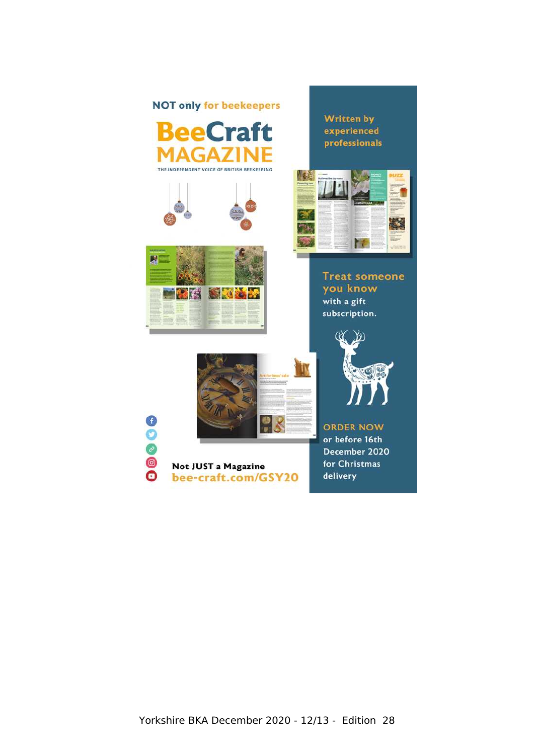